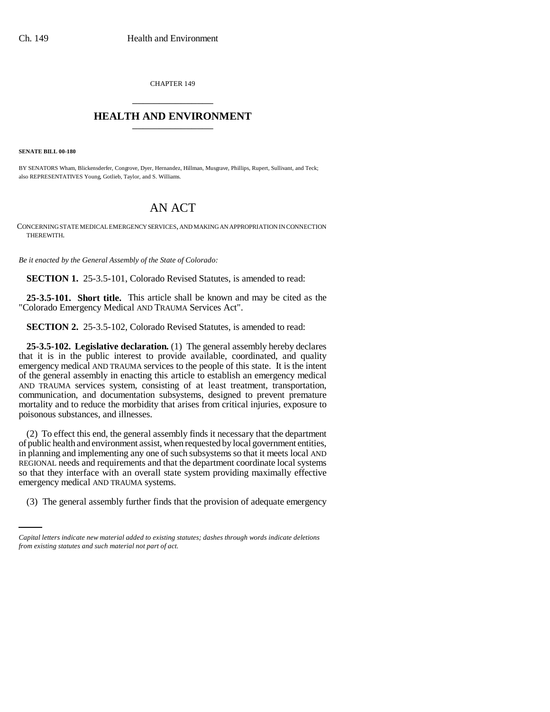CHAPTER 149 \_\_\_\_\_\_\_\_\_\_\_\_\_\_\_

## **HEALTH AND ENVIRONMENT** \_\_\_\_\_\_\_\_\_\_\_\_\_\_\_

**SENATE BILL 00-180** 

BY SENATORS Wham, Blickensderfer, Congrove, Dyer, Hernandez, Hillman, Musgrave, Phillips, Rupert, Sullivant, and Teck; also REPRESENTATIVES Young, Gotlieb, Taylor, and S. Williams.

# AN ACT

CONCERNING STATE MEDICAL EMERGENCY SERVICES, AND MAKING AN APPROPRIATION IN CONNECTION THEREWITH.

*Be it enacted by the General Assembly of the State of Colorado:*

**SECTION 1.** 25-3.5-101, Colorado Revised Statutes, is amended to read:

**25-3.5-101. Short title.** This article shall be known and may be cited as the "Colorado Emergency Medical AND TRAUMA Services Act".

**SECTION 2.** 25-3.5-102, Colorado Revised Statutes, is amended to read:

**25-3.5-102. Legislative declaration.** (1) The general assembly hereby declares that it is in the public interest to provide available, coordinated, and quality emergency medical AND TRAUMA services to the people of this state. It is the intent of the general assembly in enacting this article to establish an emergency medical AND TRAUMA services system, consisting of at least treatment, transportation, communication, and documentation subsystems, designed to prevent premature mortality and to reduce the morbidity that arises from critical injuries, exposure to poisonous substances, and illnesses.

emergency medical AND TRAUMA systems. (2) To effect this end, the general assembly finds it necessary that the department of public health and environment assist, when requested by local government entities, in planning and implementing any one of such subsystems so that it meets local AND REGIONAL needs and requirements and that the department coordinate local systems so that they interface with an overall state system providing maximally effective

(3) The general assembly further finds that the provision of adequate emergency

*Capital letters indicate new material added to existing statutes; dashes through words indicate deletions from existing statutes and such material not part of act.*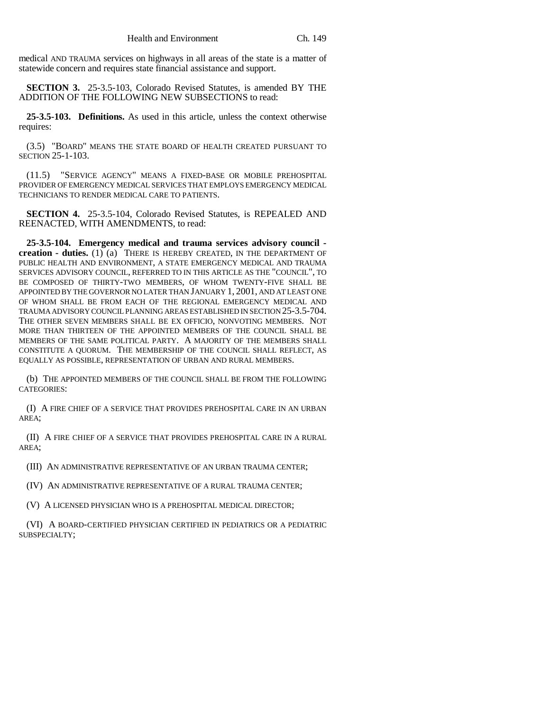medical AND TRAUMA services on highways in all areas of the state is a matter of statewide concern and requires state financial assistance and support.

**SECTION 3.** 25-3.5-103, Colorado Revised Statutes, is amended BY THE ADDITION OF THE FOLLOWING NEW SUBSECTIONS to read:

**25-3.5-103. Definitions.** As used in this article, unless the context otherwise requires:

(3.5) "BOARD" MEANS THE STATE BOARD OF HEALTH CREATED PURSUANT TO SECTION 25-1-103.

(11.5) "SERVICE AGENCY" MEANS A FIXED-BASE OR MOBILE PREHOSPITAL PROVIDER OF EMERGENCY MEDICAL SERVICES THAT EMPLOYS EMERGENCY MEDICAL TECHNICIANS TO RENDER MEDICAL CARE TO PATIENTS.

**SECTION 4.** 25-3.5-104, Colorado Revised Statutes, is REPEALED AND REENACTED, WITH AMENDMENTS, to read:

**25-3.5-104. Emergency medical and trauma services advisory council creation - duties.** (1) (a) THERE IS HEREBY CREATED, IN THE DEPARTMENT OF PUBLIC HEALTH AND ENVIRONMENT, A STATE EMERGENCY MEDICAL AND TRAUMA SERVICES ADVISORY COUNCIL, REFERRED TO IN THIS ARTICLE AS THE "COUNCIL", TO BE COMPOSED OF THIRTY-TWO MEMBERS, OF WHOM TWENTY-FIVE SHALL BE APPOINTED BY THE GOVERNOR NO LATER THAN JANUARY 1, 2001, AND AT LEAST ONE OF WHOM SHALL BE FROM EACH OF THE REGIONAL EMERGENCY MEDICAL AND TRAUMA ADVISORY COUNCIL PLANNING AREAS ESTABLISHED IN SECTION 25-3.5-704. THE OTHER SEVEN MEMBERS SHALL BE EX OFFICIO, NONVOTING MEMBERS. NOT MORE THAN THIRTEEN OF THE APPOINTED MEMBERS OF THE COUNCIL SHALL BE MEMBERS OF THE SAME POLITICAL PARTY. A MAJORITY OF THE MEMBERS SHALL CONSTITUTE A QUORUM. THE MEMBERSHIP OF THE COUNCIL SHALL REFLECT, AS EQUALLY AS POSSIBLE, REPRESENTATION OF URBAN AND RURAL MEMBERS.

(b) THE APPOINTED MEMBERS OF THE COUNCIL SHALL BE FROM THE FOLLOWING CATEGORIES:

(I) A FIRE CHIEF OF A SERVICE THAT PROVIDES PREHOSPITAL CARE IN AN URBAN AREA;

(II) A FIRE CHIEF OF A SERVICE THAT PROVIDES PREHOSPITAL CARE IN A RURAL AREA;

(III) AN ADMINISTRATIVE REPRESENTATIVE OF AN URBAN TRAUMA CENTER;

(IV) AN ADMINISTRATIVE REPRESENTATIVE OF A RURAL TRAUMA CENTER;

(V) A LICENSED PHYSICIAN WHO IS A PREHOSPITAL MEDICAL DIRECTOR;

(VI) A BOARD-CERTIFIED PHYSICIAN CERTIFIED IN PEDIATRICS OR A PEDIATRIC SUBSPECIALTY;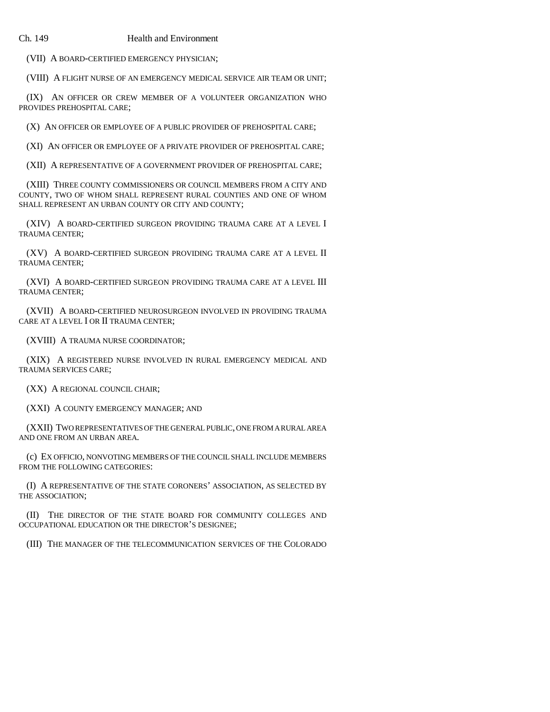(VII) A BOARD-CERTIFIED EMERGENCY PHYSICIAN;

(VIII) A FLIGHT NURSE OF AN EMERGENCY MEDICAL SERVICE AIR TEAM OR UNIT;

(IX) AN OFFICER OR CREW MEMBER OF A VOLUNTEER ORGANIZATION WHO PROVIDES PREHOSPITAL CARE;

(X) AN OFFICER OR EMPLOYEE OF A PUBLIC PROVIDER OF PREHOSPITAL CARE;

(XI) AN OFFICER OR EMPLOYEE OF A PRIVATE PROVIDER OF PREHOSPITAL CARE;

(XII) A REPRESENTATIVE OF A GOVERNMENT PROVIDER OF PREHOSPITAL CARE;

(XIII) THREE COUNTY COMMISSIONERS OR COUNCIL MEMBERS FROM A CITY AND COUNTY, TWO OF WHOM SHALL REPRESENT RURAL COUNTIES AND ONE OF WHOM SHALL REPRESENT AN URBAN COUNTY OR CITY AND COUNTY;

(XIV) A BOARD-CERTIFIED SURGEON PROVIDING TRAUMA CARE AT A LEVEL I TRAUMA CENTER;

(XV) A BOARD-CERTIFIED SURGEON PROVIDING TRAUMA CARE AT A LEVEL II TRAUMA CENTER;

(XVI) A BOARD-CERTIFIED SURGEON PROVIDING TRAUMA CARE AT A LEVEL III TRAUMA CENTER;

(XVII) A BOARD-CERTIFIED NEUROSURGEON INVOLVED IN PROVIDING TRAUMA CARE AT A LEVEL I OR II TRAUMA CENTER;

(XVIII) A TRAUMA NURSE COORDINATOR;

(XIX) A REGISTERED NURSE INVOLVED IN RURAL EMERGENCY MEDICAL AND TRAUMA SERVICES CARE;

(XX) A REGIONAL COUNCIL CHAIR;

(XXI) A COUNTY EMERGENCY MANAGER; AND

(XXII) TWO REPRESENTATIVES OF THE GENERAL PUBLIC, ONE FROM A RURAL AREA AND ONE FROM AN URBAN AREA.

(c) EX OFFICIO, NONVOTING MEMBERS OF THE COUNCIL SHALL INCLUDE MEMBERS FROM THE FOLLOWING CATEGORIES:

(I) A REPRESENTATIVE OF THE STATE CORONERS' ASSOCIATION, AS SELECTED BY THE ASSOCIATION;

(II) THE DIRECTOR OF THE STATE BOARD FOR COMMUNITY COLLEGES AND OCCUPATIONAL EDUCATION OR THE DIRECTOR'S DESIGNEE;

(III) THE MANAGER OF THE TELECOMMUNICATION SERVICES OF THE COLORADO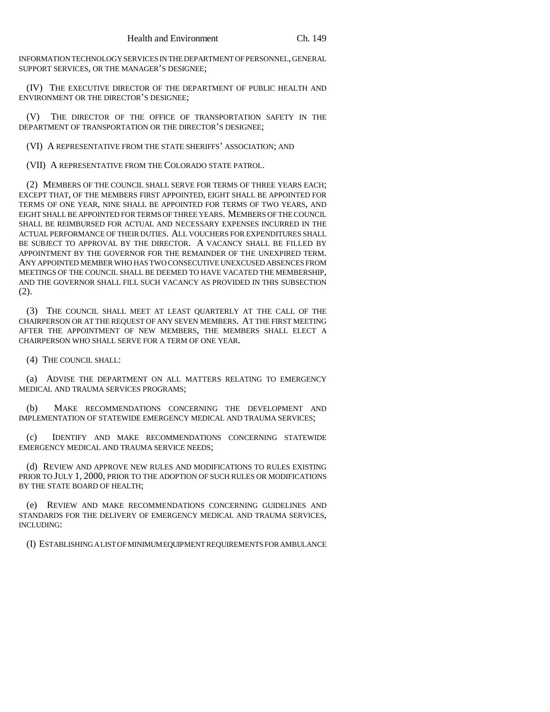INFORMATION TECHNOLOGY SERVICES IN THE DEPARTMENT OF PERSONNEL, GENERAL SUPPORT SERVICES, OR THE MANAGER'S DESIGNEE;

(IV) THE EXECUTIVE DIRECTOR OF THE DEPARTMENT OF PUBLIC HEALTH AND ENVIRONMENT OR THE DIRECTOR'S DESIGNEE;

(V) THE DIRECTOR OF THE OFFICE OF TRANSPORTATION SAFETY IN THE DEPARTMENT OF TRANSPORTATION OR THE DIRECTOR'S DESIGNEE;

(VI) A REPRESENTATIVE FROM THE STATE SHERIFFS' ASSOCIATION; AND

(VII) A REPRESENTATIVE FROM THE COLORADO STATE PATROL.

(2) MEMBERS OF THE COUNCIL SHALL SERVE FOR TERMS OF THREE YEARS EACH; EXCEPT THAT, OF THE MEMBERS FIRST APPOINTED, EIGHT SHALL BE APPOINTED FOR TERMS OF ONE YEAR, NINE SHALL BE APPOINTED FOR TERMS OF TWO YEARS, AND EIGHT SHALL BE APPOINTED FOR TERMS OF THREE YEARS. MEMBERS OF THE COUNCIL SHALL BE REIMBURSED FOR ACTUAL AND NECESSARY EXPENSES INCURRED IN THE ACTUAL PERFORMANCE OF THEIR DUTIES. ALL VOUCHERS FOR EXPENDITURES SHALL BE SUBJECT TO APPROVAL BY THE DIRECTOR. A VACANCY SHALL BE FILLED BY APPOINTMENT BY THE GOVERNOR FOR THE REMAINDER OF THE UNEXPIRED TERM. ANY APPOINTED MEMBER WHO HAS TWO CONSECUTIVE UNEXCUSED ABSENCES FROM MEETINGS OF THE COUNCIL SHALL BE DEEMED TO HAVE VACATED THE MEMBERSHIP, AND THE GOVERNOR SHALL FILL SUCH VACANCY AS PROVIDED IN THIS SUBSECTION (2).

(3) THE COUNCIL SHALL MEET AT LEAST QUARTERLY AT THE CALL OF THE CHAIRPERSON OR AT THE REQUEST OF ANY SEVEN MEMBERS. AT THE FIRST MEETING AFTER THE APPOINTMENT OF NEW MEMBERS, THE MEMBERS SHALL ELECT A CHAIRPERSON WHO SHALL SERVE FOR A TERM OF ONE YEAR.

(4) THE COUNCIL SHALL:

(a) ADVISE THE DEPARTMENT ON ALL MATTERS RELATING TO EMERGENCY MEDICAL AND TRAUMA SERVICES PROGRAMS;

(b) MAKE RECOMMENDATIONS CONCERNING THE DEVELOPMENT AND IMPLEMENTATION OF STATEWIDE EMERGENCY MEDICAL AND TRAUMA SERVICES;

(c) IDENTIFY AND MAKE RECOMMENDATIONS CONCERNING STATEWIDE EMERGENCY MEDICAL AND TRAUMA SERVICE NEEDS;

(d) REVIEW AND APPROVE NEW RULES AND MODIFICATIONS TO RULES EXISTING PRIOR TO JULY 1, 2000, PRIOR TO THE ADOPTION OF SUCH RULES OR MODIFICATIONS BY THE STATE BOARD OF HEALTH;

(e) REVIEW AND MAKE RECOMMENDATIONS CONCERNING GUIDELINES AND STANDARDS FOR THE DELIVERY OF EMERGENCY MEDICAL AND TRAUMA SERVICES, INCLUDING:

(I) ESTABLISHING A LIST OF MINIMUM EQUIPMENT REQUIREMENTS FOR AMBULANCE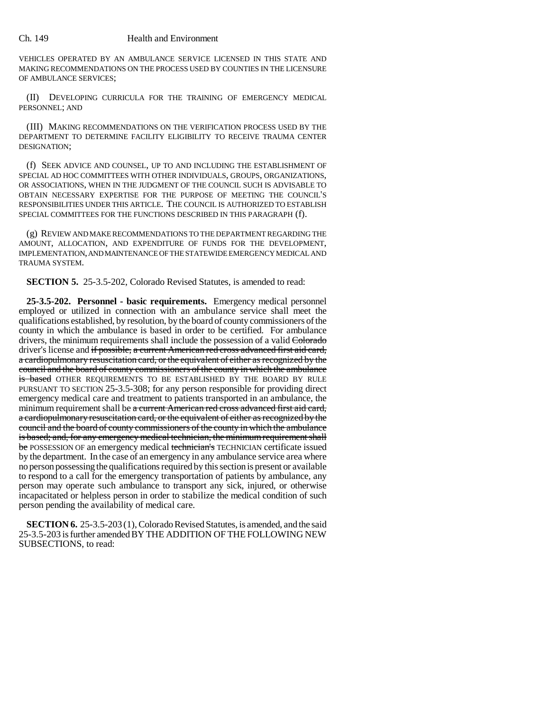VEHICLES OPERATED BY AN AMBULANCE SERVICE LICENSED IN THIS STATE AND MAKING RECOMMENDATIONS ON THE PROCESS USED BY COUNTIES IN THE LICENSURE OF AMBULANCE SERVICES;

(II) DEVELOPING CURRICULA FOR THE TRAINING OF EMERGENCY MEDICAL PERSONNEL; AND

(III) MAKING RECOMMENDATIONS ON THE VERIFICATION PROCESS USED BY THE DEPARTMENT TO DETERMINE FACILITY ELIGIBILITY TO RECEIVE TRAUMA CENTER DESIGNATION;

(f) SEEK ADVICE AND COUNSEL, UP TO AND INCLUDING THE ESTABLISHMENT OF SPECIAL AD HOC COMMITTEES WITH OTHER INDIVIDUALS, GROUPS, ORGANIZATIONS, OR ASSOCIATIONS, WHEN IN THE JUDGMENT OF THE COUNCIL SUCH IS ADVISABLE TO OBTAIN NECESSARY EXPERTISE FOR THE PURPOSE OF MEETING THE COUNCIL'S RESPONSIBILITIES UNDER THIS ARTICLE. THE COUNCIL IS AUTHORIZED TO ESTABLISH SPECIAL COMMITTEES FOR THE FUNCTIONS DESCRIBED IN THIS PARAGRAPH (f).

(g) REVIEW AND MAKE RECOMMENDATIONS TO THE DEPARTMENT REGARDING THE AMOUNT, ALLOCATION, AND EXPENDITURE OF FUNDS FOR THE DEVELOPMENT, IMPLEMENTATION, AND MAINTENANCE OF THE STATEWIDE EMERGENCY MEDICAL AND TRAUMA SYSTEM.

**SECTION 5.** 25-3.5-202, Colorado Revised Statutes, is amended to read:

**25-3.5-202. Personnel - basic requirements.** Emergency medical personnel employed or utilized in connection with an ambulance service shall meet the qualifications established, by resolution, by the board of county commissioners of the county in which the ambulance is based in order to be certified. For ambulance drivers, the minimum requirements shall include the possession of a valid Colorado driver's license and if possible, a current American red cross advanced first aid card, a cardiopulmonary resuscitation card, or the equivalent of either as recognized by the council and the board of county commissioners of the county in which the ambulance is based OTHER REQUIREMENTS TO BE ESTABLISHED BY THE BOARD BY RULE PURSUANT TO SECTION 25-3.5-308; for any person responsible for providing direct emergency medical care and treatment to patients transported in an ambulance, the minimum requirement shall be a current American red cross advanced first aid card, a cardiopulmonary resuscitation card, or the equivalent of either as recognized by the council and the board of county commissioners of the county in which the ambulance is based; and, for any emergency medical technician, the minimum requirement shall be POSSESSION OF an emergency medical technician's TECHNICIAN certificate issued by the department. In the case of an emergency in any ambulance service area where no person possessing the qualifications required by this section is present or available to respond to a call for the emergency transportation of patients by ambulance, any person may operate such ambulance to transport any sick, injured, or otherwise incapacitated or helpless person in order to stabilize the medical condition of such person pending the availability of medical care.

**SECTION 6.** 25-3.5-203 (1), Colorado Revised Statutes, is amended, and the said 25-3.5-203 is further amended BY THE ADDITION OF THE FOLLOWING NEW SUBSECTIONS, to read: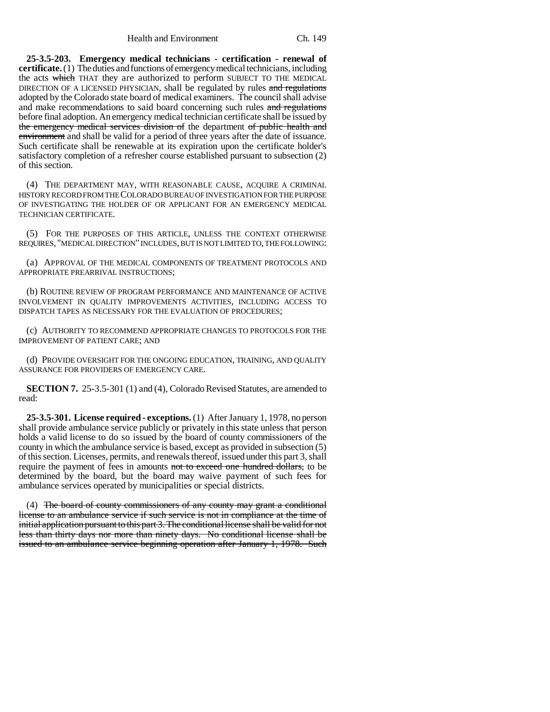**25-3.5-203. Emergency medical technicians - certification - renewal of certificate.** (1) The duties and functions of emergency medical technicians, including the acts which THAT they are authorized to perform SUBJECT TO THE MEDICAL DIRECTION OF A LICENSED PHYSICIAN, shall be regulated by rules and regulations adopted by the Colorado state board of medical examiners. The council shall advise and make recommendations to said board concerning such rules and regulations before final adoption. An emergency medical technician certificate shall be issued by the emergency medical services division of the department of public health and environment and shall be valid for a period of three years after the date of issuance. Such certificate shall be renewable at its expiration upon the certificate holder's satisfactory completion of a refresher course established pursuant to subsection (2) of this section.

(4) THE DEPARTMENT MAY, WITH REASONABLE CAUSE, ACQUIRE A CRIMINAL HISTORY RECORD FROM THE COLORADO BUREAU OF INVESTIGATION FOR THE PURPOSE OF INVESTIGATING THE HOLDER OF OR APPLICANT FOR AN EMERGENCY MEDICAL TECHNICIAN CERTIFICATE.

(5) FOR THE PURPOSES OF THIS ARTICLE, UNLESS THE CONTEXT OTHERWISE REQUIRES, "MEDICAL DIRECTION" INCLUDES, BUT IS NOT LIMITED TO, THE FOLLOWING:

(a) APPROVAL OF THE MEDICAL COMPONENTS OF TREATMENT PROTOCOLS AND APPROPRIATE PREARRIVAL INSTRUCTIONS;

(b) ROUTINE REVIEW OF PROGRAM PERFORMANCE AND MAINTENANCE OF ACTIVE INVOLVEMENT IN QUALITY IMPROVEMENTS ACTIVITIES, INCLUDING ACCESS TO DISPATCH TAPES AS NECESSARY FOR THE EVALUATION OF PROCEDURES;

(c) AUTHORITY TO RECOMMEND APPROPRIATE CHANGES TO PROTOCOLS FOR THE IMPROVEMENT OF PATIENT CARE; AND

(d) PROVIDE OVERSIGHT FOR THE ONGOING EDUCATION, TRAINING, AND QUALITY ASSURANCE FOR PROVIDERS OF EMERGENCY CARE.

**SECTION 7.** 25-3.5-301 (1) and (4), Colorado Revised Statutes, are amended to read:

**25-3.5-301. License required - exceptions.** (1) After January 1, 1978, no person shall provide ambulance service publicly or privately in this state unless that person holds a valid license to do so issued by the board of county commissioners of the county in which the ambulance service is based, except as provided in subsection (5) of this section. Licenses, permits, and renewals thereof, issued under this part 3, shall require the payment of fees in amounts not to exceed one hundred dollars, to be determined by the board, but the board may waive payment of such fees for ambulance services operated by municipalities or special districts.

(4) The board of county commissioners of any county may grant a conditional license to an ambulance service if such service is not in compliance at the time of initial application pursuant to this part 3. The conditional license shall be valid for not less than thirty days nor more than ninety days. No conditional license shall be issued to an ambulance service beginning operation after January 1, 1978. Such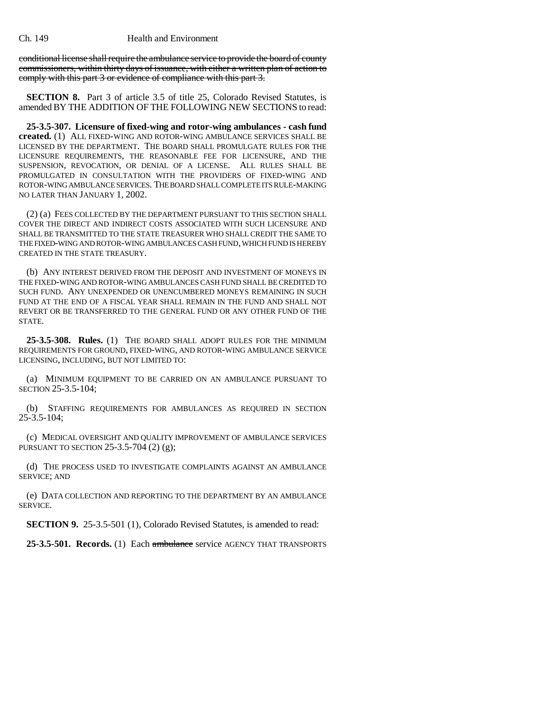conditional license shall require the ambulance service to provide the board of county commissioners, within thirty days of issuance, with either a written plan of action to comply with this part 3 or evidence of compliance with this part 3.

**SECTION 8.** Part 3 of article 3.5 of title 25, Colorado Revised Statutes, is amended BY THE ADDITION OF THE FOLLOWING NEW SECTIONS to read:

**25-3.5-307. Licensure of fixed-wing and rotor-wing ambulances - cash fund created.** (1) ALL FIXED-WING AND ROTOR-WING AMBULANCE SERVICES SHALL BE LICENSED BY THE DEPARTMENT. THE BOARD SHALL PROMULGATE RULES FOR THE LICENSURE REQUIREMENTS, THE REASONABLE FEE FOR LICENSURE, AND THE SUSPENSION, REVOCATION, OR DENIAL OF A LICENSE. ALL RULES SHALL BE PROMULGATED IN CONSULTATION WITH THE PROVIDERS OF FIXED-WING AND ROTOR-WING AMBULANCE SERVICES. THE BOARD SHALL COMPLETE ITS RULE-MAKING NO LATER THAN JANUARY 1, 2002.

(2) (a) FEES COLLECTED BY THE DEPARTMENT PURSUANT TO THIS SECTION SHALL COVER THE DIRECT AND INDIRECT COSTS ASSOCIATED WITH SUCH LICENSURE AND SHALL BE TRANSMITTED TO THE STATE TREASURER WHO SHALL CREDIT THE SAME TO THE FIXED-WING AND ROTOR-WING AMBULANCES CASH FUND, WHICH FUND IS HEREBY CREATED IN THE STATE TREASURY.

(b) ANY INTEREST DERIVED FROM THE DEPOSIT AND INVESTMENT OF MONEYS IN THE FIXED-WING AND ROTOR-WING AMBULANCES CASH FUND SHALL BE CREDITED TO SUCH FUND. ANY UNEXPENDED OR UNENCUMBERED MONEYS REMAINING IN SUCH FUND AT THE END OF A FISCAL YEAR SHALL REMAIN IN THE FUND AND SHALL NOT REVERT OR BE TRANSFERRED TO THE GENERAL FUND OR ANY OTHER FUND OF THE STATE.

**25-3.5-308. Rules.** (1) THE BOARD SHALL ADOPT RULES FOR THE MINIMUM REQUIREMENTS FOR GROUND, FIXED-WING, AND ROTOR-WING AMBULANCE SERVICE LICENSING, INCLUDING, BUT NOT LIMITED TO:

(a) MINIMUM EQUIPMENT TO BE CARRIED ON AN AMBULANCE PURSUANT TO SECTION 25-3.5-104;

(b) STAFFING REQUIREMENTS FOR AMBULANCES AS REQUIRED IN SECTION 25-3.5-104;

(c) MEDICAL OVERSIGHT AND QUALITY IMPROVEMENT OF AMBULANCE SERVICES PURSUANT TO SECTION 25-3.5-704 (2) (g);

(d) THE PROCESS USED TO INVESTIGATE COMPLAINTS AGAINST AN AMBULANCE SERVICE; AND

(e) DATA COLLECTION AND REPORTING TO THE DEPARTMENT BY AN AMBULANCE SERVICE.

**SECTION 9.** 25-3.5-501 (1), Colorado Revised Statutes, is amended to read:

**25-3.5-501. Records.** (1) Each ambulance service AGENCY THAT TRANSPORTS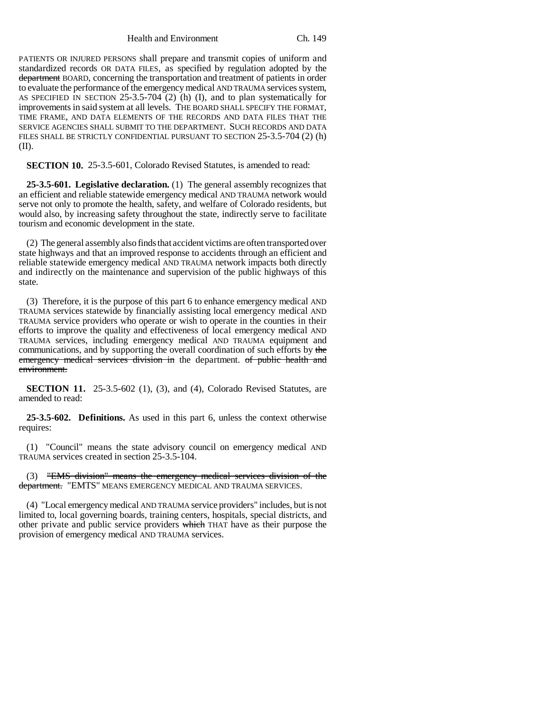Health and Environment Ch. 149

PATIENTS OR INJURED PERSONS shall prepare and transmit copies of uniform and standardized records OR DATA FILES, as specified by regulation adopted by the department BOARD, concerning the transportation and treatment of patients in order to evaluate the performance of the emergency medical AND TRAUMA services system, AS SPECIFIED IN SECTION 25-3.5-704 (2) (h) (I), and to plan systematically for improvements in said system at all levels. THE BOARD SHALL SPECIFY THE FORMAT, TIME FRAME, AND DATA ELEMENTS OF THE RECORDS AND DATA FILES THAT THE SERVICE AGENCIES SHALL SUBMIT TO THE DEPARTMENT. SUCH RECORDS AND DATA FILES SHALL BE STRICTLY CONFIDENTIAL PURSUANT TO SECTION 25-3.5-704 (2) (h) (II).

**SECTION 10.** 25-3.5-601, Colorado Revised Statutes, is amended to read:

**25-3.5-601. Legislative declaration.** (1) The general assembly recognizes that an efficient and reliable statewide emergency medical AND TRAUMA network would serve not only to promote the health, safety, and welfare of Colorado residents, but would also, by increasing safety throughout the state, indirectly serve to facilitate tourism and economic development in the state.

(2) The general assembly also finds that accident victims are often transported over state highways and that an improved response to accidents through an efficient and reliable statewide emergency medical AND TRAUMA network impacts both directly and indirectly on the maintenance and supervision of the public highways of this state.

(3) Therefore, it is the purpose of this part 6 to enhance emergency medical AND TRAUMA services statewide by financially assisting local emergency medical AND TRAUMA service providers who operate or wish to operate in the counties in their efforts to improve the quality and effectiveness of local emergency medical AND TRAUMA services, including emergency medical AND TRAUMA equipment and communications, and by supporting the overall coordination of such efforts by the emergency medical services division in the department. of public health and environment.

**SECTION 11.** 25-3.5-602 (1), (3), and (4), Colorado Revised Statutes, are amended to read:

**25-3.5-602. Definitions.** As used in this part 6, unless the context otherwise requires:

(1) "Council" means the state advisory council on emergency medical AND TRAUMA services created in section 25-3.5-104.

(3) "EMS division" means the emergency medical services division of the department. "EMTS" MEANS EMERGENCY MEDICAL AND TRAUMA SERVICES.

(4) "Local emergency medical AND TRAUMA service providers" includes, but is not limited to, local governing boards, training centers, hospitals, special districts, and other private and public service providers which THAT have as their purpose the provision of emergency medical AND TRAUMA services.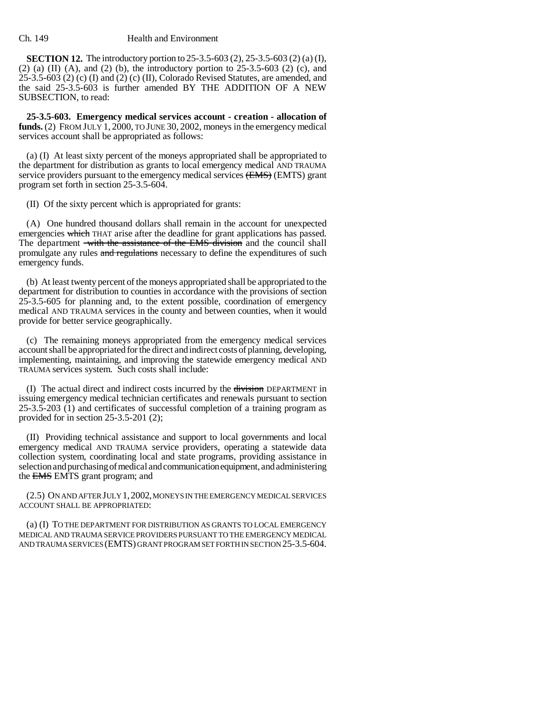**SECTION 12.** The introductory portion to 25-3.5-603 (2), 25-3.5-603 (2) (a) (I), (2) (a) (II) (A), and (2) (b), the introductory portion to  $25-3.5-603$  (2) (c), and 25-3.5-603 (2) (c) (I) and (2) (c) (II), Colorado Revised Statutes, are amended, and the said 25-3.5-603 is further amended BY THE ADDITION OF A NEW SUBSECTION, to read:

**25-3.5-603. Emergency medical services account - creation - allocation of funds.** (2) FROM JULY 1, 2000, TO JUNE 30, 2002, moneys in the emergency medical services account shall be appropriated as follows:

(a) (I) At least sixty percent of the moneys appropriated shall be appropriated to the department for distribution as grants to local emergency medical AND TRAUMA service providers pursuant to the emergency medical services (EMS) (EMTS) grant program set forth in section 25-3.5-604.

(II) Of the sixty percent which is appropriated for grants:

(A) One hundred thousand dollars shall remain in the account for unexpected emergencies which THAT arise after the deadline for grant applications has passed. The department with the assistance of the EMS division and the council shall promulgate any rules and regulations necessary to define the expenditures of such emergency funds.

(b) At least twenty percent of the moneys appropriated shall be appropriated to the department for distribution to counties in accordance with the provisions of section 25-3.5-605 for planning and, to the extent possible, coordination of emergency medical AND TRAUMA services in the county and between counties, when it would provide for better service geographically.

(c) The remaining moneys appropriated from the emergency medical services account shall be appropriated for the direct and indirect costs of planning, developing, implementing, maintaining, and improving the statewide emergency medical AND TRAUMA services system. Such costs shall include:

(I) The actual direct and indirect costs incurred by the division DEPARTMENT in issuing emergency medical technician certificates and renewals pursuant to section 25-3.5-203 (1) and certificates of successful completion of a training program as provided for in section 25-3.5-201 (2);

(II) Providing technical assistance and support to local governments and local emergency medical AND TRAUMA service providers, operating a statewide data collection system, coordinating local and state programs, providing assistance in selection and purchasing of medical and communication equipment, and administering the EMS EMTS grant program; and

(2.5) ON AND AFTER JULY 1,2002, MONEYS IN THE EMERGENCY MEDICAL SERVICES ACCOUNT SHALL BE APPROPRIATED:

(a) (I) TO THE DEPARTMENT FOR DISTRIBUTION AS GRANTS TO LOCAL EMERGENCY MEDICAL AND TRAUMA SERVICE PROVIDERS PURSUANT TO THE EMERGENCY MEDICAL AND TRAUMA SERVICES (EMTS) GRANT PROGRAM SET FORTH IN SECTION 25-3.5-604.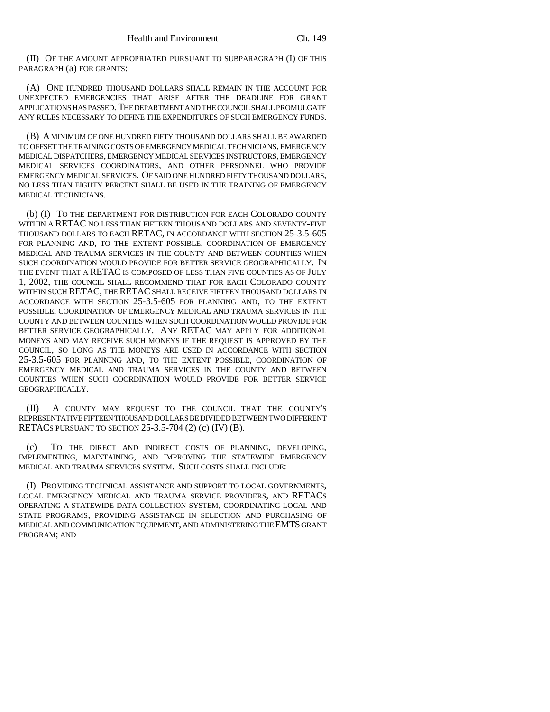(II) OF THE AMOUNT APPROPRIATED PURSUANT TO SUBPARAGRAPH (I) OF THIS PARAGRAPH (a) FOR GRANTS:

(A) ONE HUNDRED THOUSAND DOLLARS SHALL REMAIN IN THE ACCOUNT FOR UNEXPECTED EMERGENCIES THAT ARISE AFTER THE DEADLINE FOR GRANT APPLICATIONS HAS PASSED. THE DEPARTMENT AND THE COUNCIL SHALL PROMULGATE ANY RULES NECESSARY TO DEFINE THE EXPENDITURES OF SUCH EMERGENCY FUNDS.

(B) A MINIMUM OF ONE HUNDRED FIFTY THOUSAND DOLLARS SHALL BE AWARDED TO OFFSET THE TRAINING COSTS OF EMERGENCY MEDICAL TECHNICIANS, EMERGENCY MEDICAL DISPATCHERS, EMERGENCY MEDICAL SERVICES INSTRUCTORS, EMERGENCY MEDICAL SERVICES COORDINATORS, AND OTHER PERSONNEL WHO PROVIDE EMERGENCY MEDICAL SERVICES. OF SAID ONE HUNDRED FIFTY THOUSAND DOLLARS, NO LESS THAN EIGHTY PERCENT SHALL BE USED IN THE TRAINING OF EMERGENCY MEDICAL TECHNICIANS.

(b) (I) TO THE DEPARTMENT FOR DISTRIBUTION FOR EACH COLORADO COUNTY WITHIN A RETAC NO LESS THAN FIFTEEN THOUSAND DOLLARS AND SEVENTY-FIVE THOUSAND DOLLARS TO EACH RETAC, IN ACCORDANCE WITH SECTION 25-3.5-605 FOR PLANNING AND, TO THE EXTENT POSSIBLE, COORDINATION OF EMERGENCY MEDICAL AND TRAUMA SERVICES IN THE COUNTY AND BETWEEN COUNTIES WHEN SUCH COORDINATION WOULD PROVIDE FOR BETTER SERVICE GEOGRAPHICALLY. IN THE EVENT THAT A RETAC IS COMPOSED OF LESS THAN FIVE COUNTIES AS OF JULY 1, 2002, THE COUNCIL SHALL RECOMMEND THAT FOR EACH COLORADO COUNTY WITHIN SUCH RETAC, THE RETAC SHALL RECEIVE FIFTEEN THOUSAND DOLLARS IN ACCORDANCE WITH SECTION 25-3.5-605 FOR PLANNING AND, TO THE EXTENT POSSIBLE, COORDINATION OF EMERGENCY MEDICAL AND TRAUMA SERVICES IN THE COUNTY AND BETWEEN COUNTIES WHEN SUCH COORDINATION WOULD PROVIDE FOR BETTER SERVICE GEOGRAPHICALLY. ANY RETAC MAY APPLY FOR ADDITIONAL MONEYS AND MAY RECEIVE SUCH MONEYS IF THE REQUEST IS APPROVED BY THE COUNCIL, SO LONG AS THE MONEYS ARE USED IN ACCORDANCE WITH SECTION 25-3.5-605 FOR PLANNING AND, TO THE EXTENT POSSIBLE, COORDINATION OF EMERGENCY MEDICAL AND TRAUMA SERVICES IN THE COUNTY AND BETWEEN COUNTIES WHEN SUCH COORDINATION WOULD PROVIDE FOR BETTER SERVICE GEOGRAPHICALLY.

(II) A COUNTY MAY REQUEST TO THE COUNCIL THAT THE COUNTY'S REPRESENTATIVE FIFTEEN THOUSAND DOLLARS BE DIVIDED BETWEEN TWO DIFFERENT RETACS PURSUANT TO SECTION 25-3.5-704 (2) (c) (IV) (B).

(c) TO THE DIRECT AND INDIRECT COSTS OF PLANNING, DEVELOPING, IMPLEMENTING, MAINTAINING, AND IMPROVING THE STATEWIDE EMERGENCY MEDICAL AND TRAUMA SERVICES SYSTEM. SUCH COSTS SHALL INCLUDE:

(I) PROVIDING TECHNICAL ASSISTANCE AND SUPPORT TO LOCAL GOVERNMENTS, LOCAL EMERGENCY MEDICAL AND TRAUMA SERVICE PROVIDERS, AND RETACS OPERATING A STATEWIDE DATA COLLECTION SYSTEM, COORDINATING LOCAL AND STATE PROGRAMS, PROVIDING ASSISTANCE IN SELECTION AND PURCHASING OF MEDICAL AND COMMUNICATION EQUIPMENT, AND ADMINISTERING THE EMTS GRANT PROGRAM; AND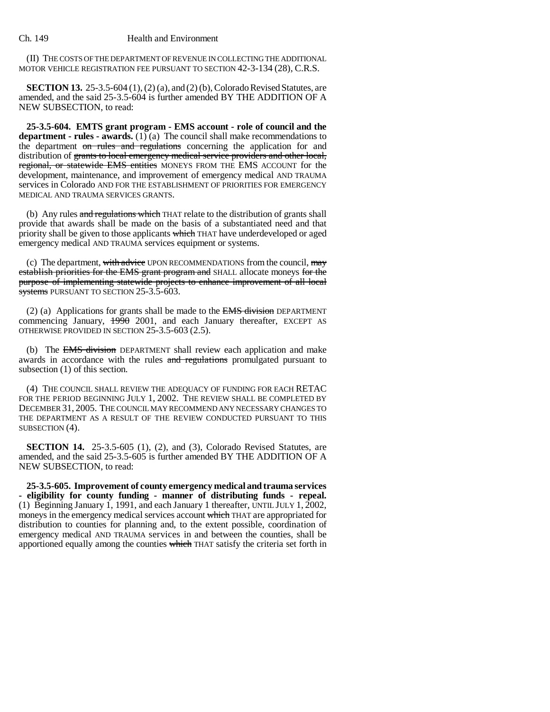(II) THE COSTS OF THE DEPARTMENT OF REVENUE IN COLLECTING THE ADDITIONAL MOTOR VEHICLE REGISTRATION FEE PURSUANT TO SECTION 42-3-134 (28), C.R.S.

**SECTION 13.** 25-3.5-604 (1), (2) (a), and (2) (b), Colorado Revised Statutes, are amended, and the said 25-3.5-604 is further amended BY THE ADDITION OF A NEW SUBSECTION, to read:

**25-3.5-604. EMTS grant program - EMS account - role of council and the department - rules - awards.** (1) (a) The council shall make recommendations to the department on rules and regulations concerning the application for and distribution of grants to local emergency medical service providers and other local, regional, or statewide EMS entities MONEYS FROM THE EMS ACCOUNT for the development, maintenance, and improvement of emergency medical AND TRAUMA services in Colorado AND FOR THE ESTABLISHMENT OF PRIORITIES FOR EMERGENCY MEDICAL AND TRAUMA SERVICES GRANTS.

(b) Any rules and regulations which THAT relate to the distribution of grants shall provide that awards shall be made on the basis of a substantiated need and that priority shall be given to those applicants which THAT have underdeveloped or aged emergency medical AND TRAUMA services equipment or systems.

(c) The department, with advice UPON RECOMMENDATIONS from the council,  $\frac{may}{dd}$ establish priorities for the EMS grant program and SHALL allocate moneys for the purpose of implementing statewide projects to enhance improvement of all local systems PURSUANT TO SECTION 25-3.5-603.

(2) (a) Applications for grants shall be made to the EMS division DEPARTMENT commencing January,  $\frac{1990}{2001}$ , and each January thereafter, EXCEPT AS OTHERWISE PROVIDED IN SECTION 25-3.5-603 (2.5).

(b) The EMS division DEPARTMENT shall review each application and make awards in accordance with the rules and regulations promulgated pursuant to subsection (1) of this section.

(4) THE COUNCIL SHALL REVIEW THE ADEQUACY OF FUNDING FOR EACH RETAC FOR THE PERIOD BEGINNING JULY 1, 2002. THE REVIEW SHALL BE COMPLETED BY DECEMBER 31, 2005. THE COUNCIL MAY RECOMMEND ANY NECESSARY CHANGES TO THE DEPARTMENT AS A RESULT OF THE REVIEW CONDUCTED PURSUANT TO THIS SUBSECTION (4).

**SECTION 14.** 25-3.5-605 (1), (2), and (3), Colorado Revised Statutes, are amended, and the said 25-3.5-605 is further amended BY THE ADDITION OF A NEW SUBSECTION, to read:

**25-3.5-605. Improvement of county emergency medical and trauma services - eligibility for county funding - manner of distributing funds - repeal.** (1) Beginning January 1, 1991, and each January 1 thereafter, UNTIL JULY 1, 2002, moneys in the emergency medical services account which THAT are appropriated for distribution to counties for planning and, to the extent possible, coordination of emergency medical AND TRAUMA services in and between the counties, shall be apportioned equally among the counties which THAT satisfy the criteria set forth in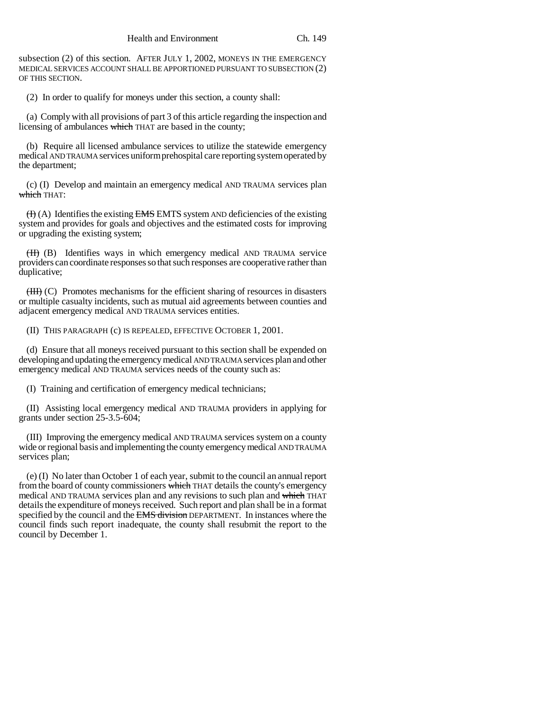subsection (2) of this section. AFTER JULY 1, 2002, MONEYS IN THE EMERGENCY MEDICAL SERVICES ACCOUNT SHALL BE APPORTIONED PURSUANT TO SUBSECTION (2) OF THIS SECTION.

(2) In order to qualify for moneys under this section, a county shall:

(a) Comply with all provisions of part 3 of this article regarding the inspection and licensing of ambulances which THAT are based in the county;

(b) Require all licensed ambulance services to utilize the statewide emergency medical AND TRAUMA services uniform prehospital care reporting system operated by the department;

(c) (I) Develop and maintain an emergency medical AND TRAUMA services plan which THAT:

 $(H)$  (A) Identifies the existing EMS EMTS system AND deficiencies of the existing system and provides for goals and objectives and the estimated costs for improving or upgrading the existing system;

(II) (B) Identifies ways in which emergency medical AND TRAUMA service providers can coordinate responses so that such responses are cooperative rather than duplicative;

 $(HH)$  (C) Promotes mechanisms for the efficient sharing of resources in disasters or multiple casualty incidents, such as mutual aid agreements between counties and adjacent emergency medical AND TRAUMA services entities.

(II) THIS PARAGRAPH (c) IS REPEALED, EFFECTIVE OCTOBER 1, 2001.

(d) Ensure that all moneys received pursuant to this section shall be expended on developing and updating the emergency medical AND TRAUMA services plan and other emergency medical AND TRAUMA services needs of the county such as:

(I) Training and certification of emergency medical technicians;

(II) Assisting local emergency medical AND TRAUMA providers in applying for grants under section 25-3.5-604;

(III) Improving the emergency medical AND TRAUMA services system on a county wide or regional basis and implementing the county emergency medical AND TRAUMA services plan;

(e) (I) No later than October 1 of each year, submit to the council an annual report from the board of county commissioners which THAT details the county's emergency medical AND TRAUMA services plan and any revisions to such plan and which THAT details the expenditure of moneys received. Such report and plan shall be in a format specified by the council and the EMS division DEPARTMENT. In instances where the council finds such report inadequate, the county shall resubmit the report to the council by December 1.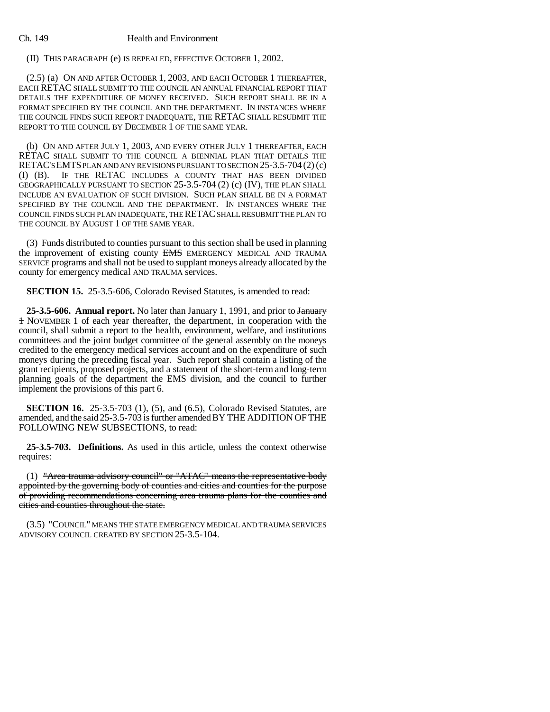(II) THIS PARAGRAPH (e) IS REPEALED, EFFECTIVE OCTOBER 1, 2002.

(2.5) (a) ON AND AFTER OCTOBER 1, 2003, AND EACH OCTOBER 1 THEREAFTER, EACH RETAC SHALL SUBMIT TO THE COUNCIL AN ANNUAL FINANCIAL REPORT THAT DETAILS THE EXPENDITURE OF MONEY RECEIVED. SUCH REPORT SHALL BE IN A FORMAT SPECIFIED BY THE COUNCIL AND THE DEPARTMENT. IN INSTANCES WHERE THE COUNCIL FINDS SUCH REPORT INADEQUATE, THE RETAC SHALL RESUBMIT THE REPORT TO THE COUNCIL BY DECEMBER 1 OF THE SAME YEAR.

(b) ON AND AFTER JULY 1, 2003, AND EVERY OTHER JULY 1 THEREAFTER, EACH RETAC SHALL SUBMIT TO THE COUNCIL A BIENNIAL PLAN THAT DETAILS THE RETAC'S EMTS PLAN AND ANY REVISIONS PURSUANT TO SECTION 25-3.5-704 (2) (c) (I) (B). IF THE RETAC INCLUDES A COUNTY THAT HAS BEEN DIVIDED GEOGRAPHICALLY PURSUANT TO SECTION 25-3.5-704 (2) (c) (IV), THE PLAN SHALL INCLUDE AN EVALUATION OF SUCH DIVISION. SUCH PLAN SHALL BE IN A FORMAT SPECIFIED BY THE COUNCIL AND THE DEPARTMENT. IN INSTANCES WHERE THE COUNCIL FINDS SUCH PLAN INADEQUATE, THE RETAC SHALL RESUBMIT THE PLAN TO THE COUNCIL BY AUGUST 1 OF THE SAME YEAR.

(3) Funds distributed to counties pursuant to this section shall be used in planning the improvement of existing county EMS EMERGENCY MEDICAL AND TRAUMA SERVICE programs and shall not be used to supplant moneys already allocated by the county for emergency medical AND TRAUMA services.

**SECTION 15.** 25-3.5-606, Colorado Revised Statutes, is amended to read:

25-3.5-606. Annual report. No later than January 1, 1991, and prior to January 1 NOVEMBER 1 of each year thereafter, the department, in cooperation with the council, shall submit a report to the health, environment, welfare, and institutions committees and the joint budget committee of the general assembly on the moneys credited to the emergency medical services account and on the expenditure of such moneys during the preceding fiscal year. Such report shall contain a listing of the grant recipients, proposed projects, and a statement of the short-term and long-term planning goals of the department the EMS division, and the council to further implement the provisions of this part 6.

**SECTION 16.** 25-3.5-703 (1), (5), and (6.5), Colorado Revised Statutes, are amended, and the said 25-3.5-703 is further amended BY THE ADDITION OF THE FOLLOWING NEW SUBSECTIONS, to read:

**25-3.5-703. Definitions.** As used in this article, unless the context otherwise requires:

(1) "Area trauma advisory council" or "ATAC" means the representative body appointed by the governing body of counties and cities and counties for the purpose of providing recommendations concerning area trauma plans for the counties and cities and counties throughout the state.

(3.5) "COUNCIL" MEANS THE STATE EMERGENCY MEDICAL AND TRAUMA SERVICES ADVISORY COUNCIL CREATED BY SECTION 25-3.5-104.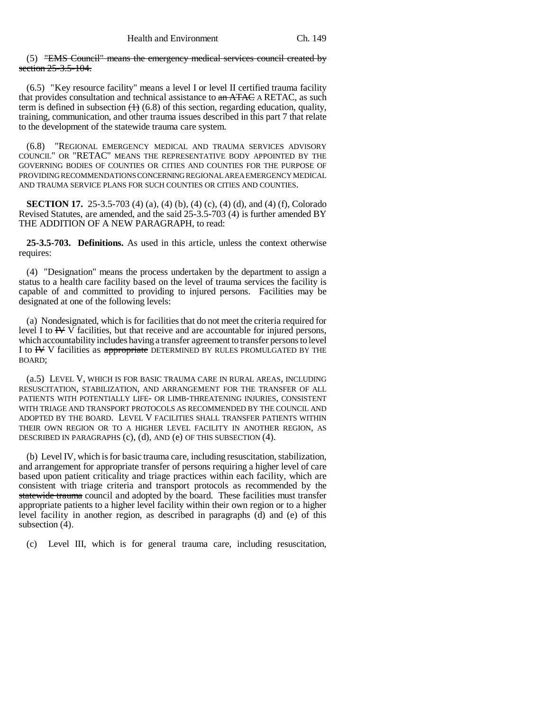(5) "EMS Council" means the emergency medical services council created by section 25-3.5-104.

(6.5) "Key resource facility" means a level I or level II certified trauma facility that provides consultation and technical assistance to  $\alpha$ n ATAC A RETAC, as such term is defined in subsection  $(1)$  (6.8) of this section, regarding education, quality, training, communication, and other trauma issues described in this part 7 that relate to the development of the statewide trauma care system.

(6.8) "REGIONAL EMERGENCY MEDICAL AND TRAUMA SERVICES ADVISORY COUNCIL" OR "RETAC" MEANS THE REPRESENTATIVE BODY APPOINTED BY THE GOVERNING BODIES OF COUNTIES OR CITIES AND COUNTIES FOR THE PURPOSE OF PROVIDING RECOMMENDATIONS CONCERNING REGIONAL AREA EMERGENCY MEDICAL AND TRAUMA SERVICE PLANS FOR SUCH COUNTIES OR CITIES AND COUNTIES.

**SECTION 17.** 25-3.5-703 (4) (a), (4) (b), (4) (c), (4) (d), and (4) (f), Colorado Revised Statutes, are amended, and the said 25-3.5-703 (4) is further amended BY THE ADDITION OF A NEW PARAGRAPH, to read:

**25-3.5-703. Definitions.** As used in this article, unless the context otherwise requires:

(4) "Designation" means the process undertaken by the department to assign a status to a health care facility based on the level of trauma services the facility is capable of and committed to providing to injured persons. Facilities may be designated at one of the following levels:

(a) Nondesignated, which is for facilities that do not meet the criteria required for level I to  $\mathbb{H} \vee \overline{\mathbb{V}}$  facilities, but that receive and are accountable for injured persons, which accountability includes having a transfer agreement to transfer persons to level I to HV V facilities as appropriate DETERMINED BY RULES PROMULGATED BY THE BOARD;

(a.5) LEVEL V, WHICH IS FOR BASIC TRAUMA CARE IN RURAL AREAS, INCLUDING RESUSCITATION, STABILIZATION, AND ARRANGEMENT FOR THE TRANSFER OF ALL PATIENTS WITH POTENTIALLY LIFE- OR LIMB-THREATENING INJURIES, CONSISTENT WITH TRIAGE AND TRANSPORT PROTOCOLS AS RECOMMENDED BY THE COUNCIL AND ADOPTED BY THE BOARD. LEVEL V FACILITIES SHALL TRANSFER PATIENTS WITHIN THEIR OWN REGION OR TO A HIGHER LEVEL FACILITY IN ANOTHER REGION, AS DESCRIBED IN PARAGRAPHS (c), (d), AND (e) OF THIS SUBSECTION (4).

(b) Level IV, which is for basic trauma care, including resuscitation, stabilization, and arrangement for appropriate transfer of persons requiring a higher level of care based upon patient criticality and triage practices within each facility, which are consistent with triage criteria and transport protocols as recommended by the statewide trauma council and adopted by the board. These facilities must transfer appropriate patients to a higher level facility within their own region or to a higher level facility in another region, as described in paragraphs (d) and (e) of this subsection (4).

(c) Level III, which is for general trauma care, including resuscitation,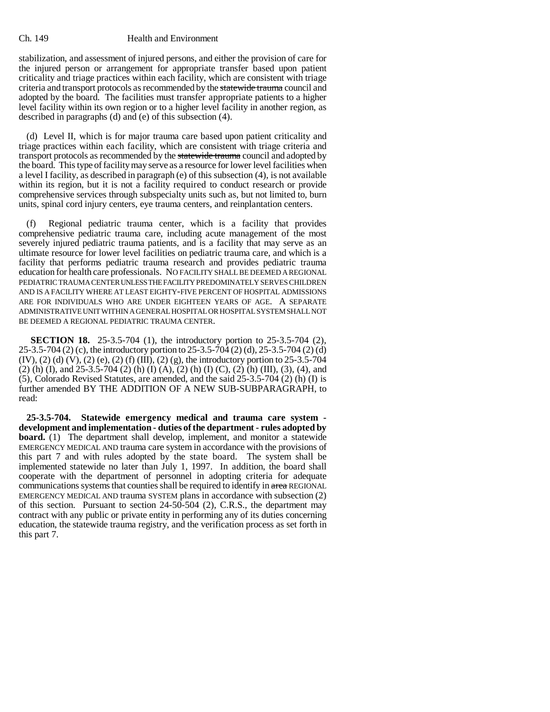stabilization, and assessment of injured persons, and either the provision of care for the injured person or arrangement for appropriate transfer based upon patient criticality and triage practices within each facility, which are consistent with triage criteria and transport protocols as recommended by the statewide trauma council and adopted by the board. The facilities must transfer appropriate patients to a higher level facility within its own region or to a higher level facility in another region, as described in paragraphs (d) and (e) of this subsection (4).

(d) Level II, which is for major trauma care based upon patient criticality and triage practices within each facility, which are consistent with triage criteria and transport protocols as recommended by the statewide trauma council and adopted by the board. This type of facility may serve as a resource for lower level facilities when a level I facility, as described in paragraph (e) of this subsection (4), is not available within its region, but it is not a facility required to conduct research or provide comprehensive services through subspecialty units such as, but not limited to, burn units, spinal cord injury centers, eye trauma centers, and reinplantation centers.

(f) Regional pediatric trauma center, which is a facility that provides comprehensive pediatric trauma care, including acute management of the most severely injured pediatric trauma patients, and is a facility that may serve as an ultimate resource for lower level facilities on pediatric trauma care, and which is a facility that performs pediatric trauma research and provides pediatric trauma education for health care professionals. NO FACILITY SHALL BE DEEMED A REGIONAL PEDIATRIC TRAUMA CENTER UNLESS THE FACILITY PREDOMINATELY SERVES CHILDREN AND IS A FACILITY WHERE AT LEAST EIGHTY-FIVE PERCENT OF HOSPITAL ADMISSIONS ARE FOR INDIVIDUALS WHO ARE UNDER EIGHTEEN YEARS OF AGE. A SEPARATE ADMINISTRATIVE UNIT WITHIN A GENERAL HOSPITAL OR HOSPITAL SYSTEM SHALL NOT BE DEEMED A REGIONAL PEDIATRIC TRAUMA CENTER.

**SECTION 18.** 25-3.5-704 (1), the introductory portion to 25-3.5-704 (2), 25-3.5-704 (2) (c), the introductory portion to 25-3.5-704 (2) (d), 25-3.5-704 (2) (d)  $(IV), (2)$  (d)  $(V), (2)$  (e),  $(2)$  (f)  $(III), (2)$  (g), the introductory portion to 25-3.5-704 (2) (h) (I), and 25-3.5-704 (2) (h) (I) (A), (2) (h) (I) (C), (2) (h) (III), (3), (4), and (5), Colorado Revised Statutes, are amended, and the said 25-3.5-704 (2) (h) (I) is further amended BY THE ADDITION OF A NEW SUB-SUBPARAGRAPH, to read:

**25-3.5-704. Statewide emergency medical and trauma care system development and implementation - duties of the department - rules adopted by board.** (1) The department shall develop, implement, and monitor a statewide EMERGENCY MEDICAL AND trauma care system in accordance with the provisions of this part 7 and with rules adopted by the state board. The system shall be implemented statewide no later than July 1, 1997. In addition, the board shall cooperate with the department of personnel in adopting criteria for adequate communications systems that counties shall be required to identify in area REGIONAL EMERGENCY MEDICAL AND trauma SYSTEM plans in accordance with subsection (2) of this section. Pursuant to section 24-50-504 (2), C.R.S., the department may contract with any public or private entity in performing any of its duties concerning education, the statewide trauma registry, and the verification process as set forth in this part 7.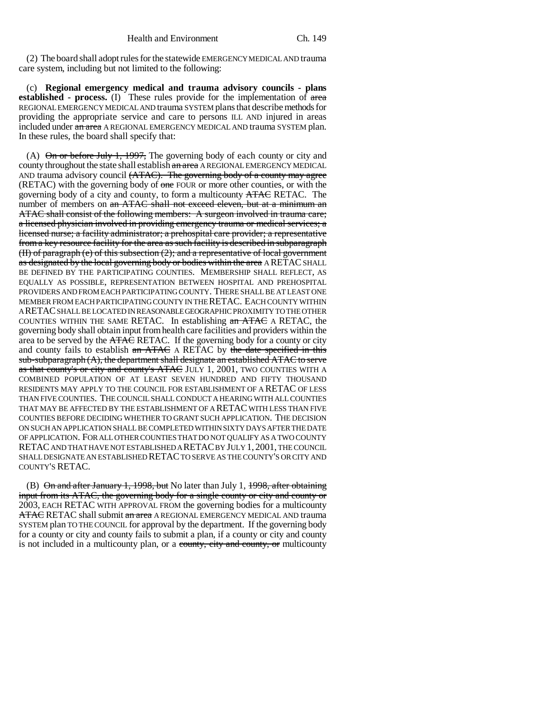(2) The board shall adopt rules for the statewide EMERGENCY MEDICAL AND trauma care system, including but not limited to the following:

(c) **Regional emergency medical and trauma advisory councils - plans** established - process. (I) These rules provide for the implementation of area REGIONAL EMERGENCY MEDICAL AND trauma SYSTEM plans that describe methods for providing the appropriate service and care to persons ILL AND injured in areas included under an area A REGIONAL EMERGENCY MEDICAL AND trauma SYSTEM plan. In these rules, the board shall specify that:

(A)  $\Theta$  in or before July 1, 1997, The governing body of each county or city and county throughout the state shall establish an area A REGIONAL EMERGENCY MEDICAL AND trauma advisory council (ATAC). The governing body of a county may agree (RETAC) with the governing body of one FOUR or more other counties, or with the governing body of a city and county, to form a multicounty ATAC RETAC. The number of members on an ATAC shall not exceed eleven, but at a minimum an ATAC shall consist of the following members: A surgeon involved in trauma care; a licensed physician involved in providing emergency trauma or medical services; a licensed nurse; a facility administrator; a prehospital care provider; a representative from a key resource facility for the area as such facility is described in subparagraph (II) of paragraph (e) of this subsection (2); and a representative of local government as designated by the local governing body or bodies within the area A RETAC SHALL BE DEFINED BY THE PARTICIPATING COUNTIES. MEMBERSHIP SHALL REFLECT, AS EQUALLY AS POSSIBLE, REPRESENTATION BETWEEN HOSPITAL AND PREHOSPITAL PROVIDERS AND FROM EACH PARTICIPATING COUNTY. THERE SHALL BE AT LEAST ONE MEMBER FROM EACH PARTICIPATING COUNTY IN THE RETAC. EACH COUNTY WITHIN A RETAC SHALL BE LOCATED IN REASONABLE GEOGRAPHIC PROXIMITY TO THE OTHER COUNTIES WITHIN THE SAME RETAC. In establishing an ATAC A RETAC, the governing body shall obtain input from health care facilities and providers within the area to be served by the ATAC RETAC. If the governing body for a county or city and county fails to establish an ATAC A RETAC by the date specified in this  $sub-subparagram$   $(A)$ , the department shall designate an established  $ATAC$  to serve as that county's or city and county's ATAC JULY 1, 2001, TWO COUNTIES WITH A COMBINED POPULATION OF AT LEAST SEVEN HUNDRED AND FIFTY THOUSAND RESIDENTS MAY APPLY TO THE COUNCIL FOR ESTABLISHMENT OF A RETAC OF LESS THAN FIVE COUNTIES. THE COUNCIL SHALL CONDUCT A HEARING WITH ALL COUNTIES THAT MAY BE AFFECTED BY THE ESTABLISHMENT OF A RETAC WITH LESS THAN FIVE COUNTIES BEFORE DECIDING WHETHER TO GRANT SUCH APPLICATION. THE DECISION ON SUCH AN APPLICATION SHALL BE COMPLETED WITHIN SIXTY DAYS AFTER THE DATE OF APPLICATION. FOR ALL OTHER COUNTIES THAT DO NOT QUALIFY AS A TWO COUNTY RETAC AND THAT HAVE NOT ESTABLISHED A RETAC BY JULY 1, 2001, THE COUNCIL SHALL DESIGNATE AN ESTABLISHED RETAC TO SERVE AS THE COUNTY'S OR CITY AND COUNTY'S RETAC.

(B)  $\Theta$  and after January 1, 1998, but No later than July 1, 1998, after obtaining input from its ATAC, the governing body for a single county or city and county or 2003, EACH RETAC WITH APPROVAL FROM the governing bodies for a multicounty ATAC RETAC shall submit an area A REGIONAL EMERGENCY MEDICAL AND trauma SYSTEM plan TO THE COUNCIL for approval by the department. If the governing body for a county or city and county fails to submit a plan, if a county or city and county is not included in a multicounty plan, or a county, city and county, or multicounty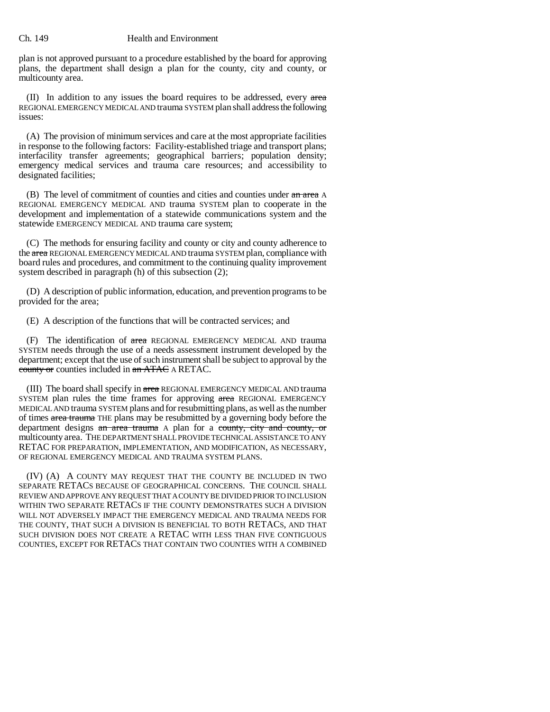plan is not approved pursuant to a procedure established by the board for approving plans, the department shall design a plan for the county, city and county, or multicounty area.

 $(II)$  In addition to any issues the board requires to be addressed, every area REGIONAL EMERGENCY MEDICAL AND trauma SYSTEM plan shall address the following issues:

(A) The provision of minimum services and care at the most appropriate facilities in response to the following factors: Facility-established triage and transport plans; interfacility transfer agreements; geographical barriers; population density; emergency medical services and trauma care resources; and accessibility to designated facilities;

(B) The level of commitment of counties and cities and counties under an area A REGIONAL EMERGENCY MEDICAL AND trauma SYSTEM plan to cooperate in the development and implementation of a statewide communications system and the statewide EMERGENCY MEDICAL AND trauma care system;

(C) The methods for ensuring facility and county or city and county adherence to the area REGIONAL EMERGENCY MEDICAL AND trauma SYSTEM plan, compliance with board rules and procedures, and commitment to the continuing quality improvement system described in paragraph (h) of this subsection (2);

(D) A description of public information, education, and prevention programs to be provided for the area;

(E) A description of the functions that will be contracted services; and

(F) The identification of area REGIONAL EMERGENCY MEDICAL AND trauma SYSTEM needs through the use of a needs assessment instrument developed by the department; except that the use of such instrument shall be subject to approval by the county or counties included in an ATAC A RETAC.

(III) The board shall specify in area REGIONAL EMERGENCY MEDICAL AND trauma SYSTEM plan rules the time frames for approving area REGIONAL EMERGENCY MEDICAL AND trauma SYSTEM plans and for resubmitting plans, as well as the number of times area trauma THE plans may be resubmitted by a governing body before the department designs an area trauma A plan for a county, city and county, or multicounty area. THE DEPARTMENT SHALL PROVIDE TECHNICAL ASSISTANCE TO ANY RETAC FOR PREPARATION, IMPLEMENTATION, AND MODIFICATION, AS NECESSARY, OF REGIONAL EMERGENCY MEDICAL AND TRAUMA SYSTEM PLANS.

(IV) (A) A COUNTY MAY REQUEST THAT THE COUNTY BE INCLUDED IN TWO SEPARATE RETACS BECAUSE OF GEOGRAPHICAL CONCERNS. THE COUNCIL SHALL REVIEW AND APPROVE ANY REQUEST THAT A COUNTY BE DIVIDED PRIOR TO INCLUSION WITHIN TWO SEPARATE RETACS IF THE COUNTY DEMONSTRATES SUCH A DIVISION WILL NOT ADVERSELY IMPACT THE EMERGENCY MEDICAL AND TRAUMA NEEDS FOR THE COUNTY, THAT SUCH A DIVISION IS BENEFICIAL TO BOTH RETACS, AND THAT SUCH DIVISION DOES NOT CREATE A RETAC WITH LESS THAN FIVE CONTIGUOUS COUNTIES, EXCEPT FOR RETACS THAT CONTAIN TWO COUNTIES WITH A COMBINED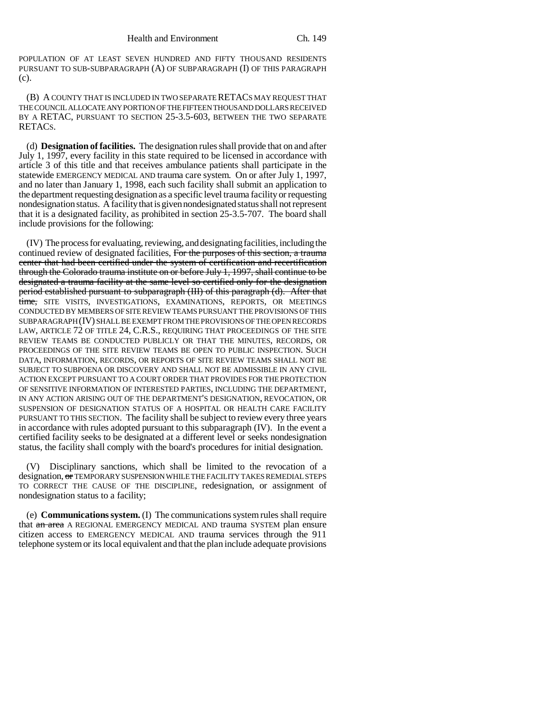POPULATION OF AT LEAST SEVEN HUNDRED AND FIFTY THOUSAND RESIDENTS PURSUANT TO SUB-SUBPARAGRAPH (A) OF SUBPARAGRAPH (I) OF THIS PARAGRAPH (c).

(B) A COUNTY THAT IS INCLUDED IN TWO SEPARATE RETACS MAY REQUEST THAT THE COUNCIL ALLOCATE ANY PORTION OF THE FIFTEEN THOUSAND DOLLARS RECEIVED BY A RETAC, PURSUANT TO SECTION 25-3.5-603, BETWEEN THE TWO SEPARATE RETACS.

(d) **Designation of facilities.** The designation rules shall provide that on and after July 1, 1997, every facility in this state required to be licensed in accordance with article 3 of this title and that receives ambulance patients shall participate in the statewide EMERGENCY MEDICAL AND trauma care system. On or after July 1, 1997, and no later than January 1, 1998, each such facility shall submit an application to the department requesting designation as a specific level trauma facility or requesting nondesignation status. A facility that is given nondesignated status shall not represent that it is a designated facility, as prohibited in section 25-3.5-707. The board shall include provisions for the following:

(IV) The process for evaluating, reviewing, and designating facilities, including the continued review of designated facilities, For the purposes of this section, a trauma center that had been certified under the system of certification and recertification through the Colorado trauma institute on or before July 1, 1997, shall continue to be designated a trauma facility at the same level so certified only for the designation period established pursuant to subparagraph (III) of this paragraph (d). After that time, SITE VISITS, INVESTIGATIONS, EXAMINATIONS, REPORTS, OR MEETINGS CONDUCTED BY MEMBERS OF SITE REVIEW TEAMS PURSUANT THE PROVISIONS OF THIS SUBPARAGRAPH (IV) SHALL BE EXEMPT FROM THE PROVISIONS OF THE OPEN RECORDS LAW, ARTICLE 72 OF TITLE 24, C.R.S., REQUIRING THAT PROCEEDINGS OF THE SITE REVIEW TEAMS BE CONDUCTED PUBLICLY OR THAT THE MINUTES, RECORDS, OR PROCEEDINGS OF THE SITE REVIEW TEAMS BE OPEN TO PUBLIC INSPECTION. SUCH DATA, INFORMATION, RECORDS, OR REPORTS OF SITE REVIEW TEAMS SHALL NOT BE SUBJECT TO SUBPOENA OR DISCOVERY AND SHALL NOT BE ADMISSIBLE IN ANY CIVIL ACTION EXCEPT PURSUANT TO A COURT ORDER THAT PROVIDES FOR THE PROTECTION OF SENSITIVE INFORMATION OF INTERESTED PARTIES, INCLUDING THE DEPARTMENT, IN ANY ACTION ARISING OUT OF THE DEPARTMENT'S DESIGNATION, REVOCATION, OR SUSPENSION OF DESIGNATION STATUS OF A HOSPITAL OR HEALTH CARE FACILITY PURSUANT TO THIS SECTION. The facility shall be subject to review every three years in accordance with rules adopted pursuant to this subparagraph (IV). In the event a certified facility seeks to be designated at a different level or seeks nondesignation status, the facility shall comply with the board's procedures for initial designation.

(V) Disciplinary sanctions, which shall be limited to the revocation of a designation, or TEMPORARY SUSPENSION WHILE THE FACILITY TAKES REMEDIAL STEPS TO CORRECT THE CAUSE OF THE DISCIPLINE, redesignation, or assignment of nondesignation status to a facility;

(e) **Communications system.** (I) The communications system rules shall require that an area A REGIONAL EMERGENCY MEDICAL AND trauma SYSTEM plan ensure citizen access to EMERGENCY MEDICAL AND trauma services through the 911 telephone system or its local equivalent and that the plan include adequate provisions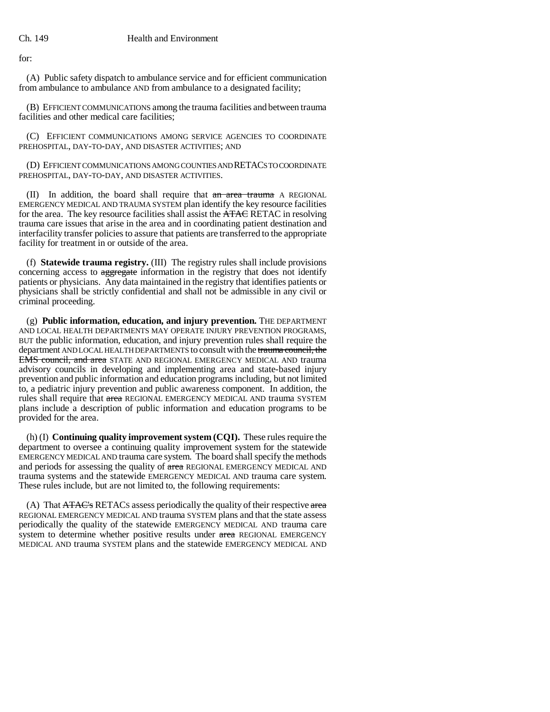for:

(A) Public safety dispatch to ambulance service and for efficient communication from ambulance to ambulance AND from ambulance to a designated facility;

(B) EFFICIENT COMMUNICATIONS among the trauma facilities and between trauma facilities and other medical care facilities;

(C) EFFICIENT COMMUNICATIONS AMONG SERVICE AGENCIES TO COORDINATE PREHOSPITAL, DAY-TO-DAY, AND DISASTER ACTIVITIES; AND

(D) EFFICIENT COMMUNICATIONS AMONG COUNTIES AND RETACS TO COORDINATE PREHOSPITAL, DAY-TO-DAY, AND DISASTER ACTIVITIES.

(II) In addition, the board shall require that an area trauma A REGIONAL EMERGENCY MEDICAL AND TRAUMA SYSTEM plan identify the key resource facilities for the area. The key resource facilities shall assist the ATAC RETAC in resolving trauma care issues that arise in the area and in coordinating patient destination and interfacility transfer policies to assure that patients are transferred to the appropriate facility for treatment in or outside of the area.

(f) **Statewide trauma registry.** (III) The registry rules shall include provisions concerning access to aggregate information in the registry that does not identify patients or physicians. Any data maintained in the registry that identifies patients or physicians shall be strictly confidential and shall not be admissible in any civil or criminal proceeding.

(g) **Public information, education, and injury prevention.** THE DEPARTMENT AND LOCAL HEALTH DEPARTMENTS MAY OPERATE INJURY PREVENTION PROGRAMS, BUT the public information, education, and injury prevention rules shall require the department AND LOCAL HEALTH DEPARTMENTS to consult with the trauma council, the **EMS council, and area** STATE AND REGIONAL EMERGENCY MEDICAL AND trauma advisory councils in developing and implementing area and state-based injury prevention and public information and education programs including, but not limited to, a pediatric injury prevention and public awareness component. In addition, the rules shall require that area REGIONAL EMERGENCY MEDICAL AND trauma SYSTEM plans include a description of public information and education programs to be provided for the area.

(h) (I) **Continuing quality improvement system (CQI).** These rules require the department to oversee a continuing quality improvement system for the statewide EMERGENCY MEDICAL AND trauma care system. The board shall specify the methods and periods for assessing the quality of area REGIONAL EMERGENCY MEDICAL AND trauma systems and the statewide EMERGENCY MEDICAL AND trauma care system. These rules include, but are not limited to, the following requirements:

(A) That  $\overline{ATAC}$ 's RETACS assess periodically the quality of their respective area REGIONAL EMERGENCY MEDICAL AND trauma SYSTEM plans and that the state assess periodically the quality of the statewide EMERGENCY MEDICAL AND trauma care system to determine whether positive results under area REGIONAL EMERGENCY MEDICAL AND trauma SYSTEM plans and the statewide EMERGENCY MEDICAL AND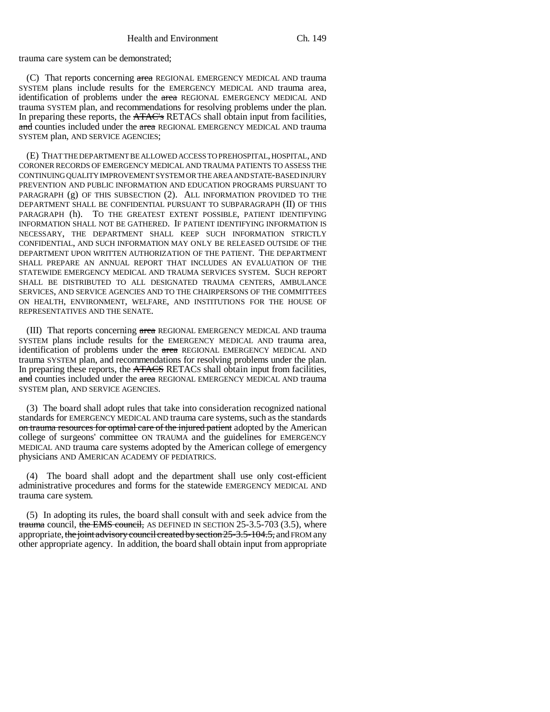trauma care system can be demonstrated;

(C) That reports concerning area REGIONAL EMERGENCY MEDICAL AND trauma SYSTEM plans include results for the EMERGENCY MEDICAL AND trauma area, identification of problems under the area REGIONAL EMERGENCY MEDICAL AND trauma SYSTEM plan, and recommendations for resolving problems under the plan. In preparing these reports, the ATAC's RETACs shall obtain input from facilities, and counties included under the area REGIONAL EMERGENCY MEDICAL AND trauma SYSTEM plan, AND SERVICE AGENCIES;

(E) THAT THE DEPARTMENT BE ALLOWED ACCESS TO PREHOSPITAL, HOSPITAL, AND CORONER RECORDS OF EMERGENCY MEDICAL AND TRAUMA PATIENTS TO ASSESS THE CONTINUING QUALITY IMPROVEMENT SYSTEM OR THE AREA AND STATE-BASED INJURY PREVENTION AND PUBLIC INFORMATION AND EDUCATION PROGRAMS PURSUANT TO PARAGRAPH (g) OF THIS SUBSECTION (2). ALL INFORMATION PROVIDED TO THE DEPARTMENT SHALL BE CONFIDENTIAL PURSUANT TO SUBPARAGRAPH (II) OF THIS PARAGRAPH (h). TO THE GREATEST EXTENT POSSIBLE, PATIENT IDENTIFYING INFORMATION SHALL NOT BE GATHERED. IF PATIENT IDENTIFYING INFORMATION IS NECESSARY, THE DEPARTMENT SHALL KEEP SUCH INFORMATION STRICTLY CONFIDENTIAL, AND SUCH INFORMATION MAY ONLY BE RELEASED OUTSIDE OF THE DEPARTMENT UPON WRITTEN AUTHORIZATION OF THE PATIENT. THE DEPARTMENT SHALL PREPARE AN ANNUAL REPORT THAT INCLUDES AN EVALUATION OF THE STATEWIDE EMERGENCY MEDICAL AND TRAUMA SERVICES SYSTEM. SUCH REPORT SHALL BE DISTRIBUTED TO ALL DESIGNATED TRAUMA CENTERS, AMBULANCE SERVICES, AND SERVICE AGENCIES AND TO THE CHAIRPERSONS OF THE COMMITTEES ON HEALTH, ENVIRONMENT, WELFARE, AND INSTITUTIONS FOR THE HOUSE OF REPRESENTATIVES AND THE SENATE.

(III) That reports concerning area REGIONAL EMERGENCY MEDICAL AND trauma SYSTEM plans include results for the EMERGENCY MEDICAL AND trauma area, identification of problems under the area REGIONAL EMERGENCY MEDICAL AND trauma SYSTEM plan, and recommendations for resolving problems under the plan. In preparing these reports, the ATACS RETACS shall obtain input from facilities, and counties included under the area REGIONAL EMERGENCY MEDICAL AND trauma SYSTEM plan, AND SERVICE AGENCIES.

(3) The board shall adopt rules that take into consideration recognized national standards for EMERGENCY MEDICAL AND trauma care systems, such as the standards on trauma resources for optimal care of the injured patient adopted by the American college of surgeons' committee ON TRAUMA and the guidelines for EMERGENCY MEDICAL AND trauma care systems adopted by the American college of emergency physicians AND AMERICAN ACADEMY OF PEDIATRICS.

(4) The board shall adopt and the department shall use only cost-efficient administrative procedures and forms for the statewide EMERGENCY MEDICAL AND trauma care system.

(5) In adopting its rules, the board shall consult with and seek advice from the trauma council, the EMS council, AS DEFINED IN SECTION  $25-3.5-703$  (3.5), where appropriate, the joint advisory council created by section 25-3.5-104.5, and FROM any other appropriate agency. In addition, the board shall obtain input from appropriate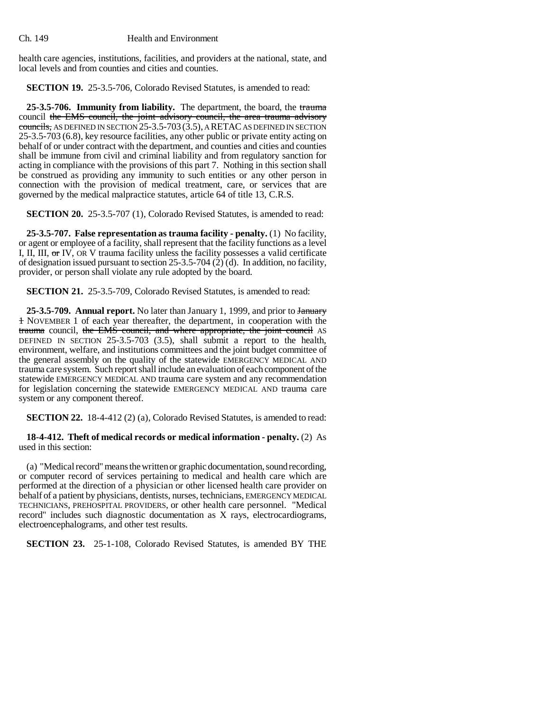health care agencies, institutions, facilities, and providers at the national, state, and local levels and from counties and cities and counties.

**SECTION 19.** 25-3.5-706, Colorado Revised Statutes, is amended to read:

**25-3.5-706. Immunity from liability.** The department, the board, the trauma council the EMS council, the joint advisory council, the area trauma advisory councils, AS DEFINED IN SECTION  $25-3.5-703$  (3.5), A RETAC AS DEFINED IN SECTION 25-3.5-703 (6.8), key resource facilities, any other public or private entity acting on behalf of or under contract with the department, and counties and cities and counties shall be immune from civil and criminal liability and from regulatory sanction for acting in compliance with the provisions of this part 7. Nothing in this section shall be construed as providing any immunity to such entities or any other person in connection with the provision of medical treatment, care, or services that are governed by the medical malpractice statutes, article 64 of title 13, C.R.S.

**SECTION 20.** 25-3.5-707 (1), Colorado Revised Statutes, is amended to read:

**25-3.5-707. False representation as trauma facility - penalty.** (1) No facility, or agent or employee of a facility, shall represent that the facility functions as a level I, II, III, or IV, OR V trauma facility unless the facility possesses a valid certificate of designation issued pursuant to section 25-3.5-704 (2) (d). In addition, no facility, provider, or person shall violate any rule adopted by the board.

**SECTION 21.** 25-3.5-709, Colorado Revised Statutes, is amended to read:

25-3.5-709. Annual report. No later than January 1, 1999, and prior to January 1 NOVEMBER 1 of each year thereafter, the department, in cooperation with the trauma council, the EMS council, and where appropriate, the joint council AS DEFINED IN SECTION 25-3.5-703 (3.5), shall submit a report to the health, environment, welfare, and institutions committees and the joint budget committee of the general assembly on the quality of the statewide EMERGENCY MEDICAL AND trauma care system. Such report shall include an evaluation of each component of the statewide EMERGENCY MEDICAL AND trauma care system and any recommendation for legislation concerning the statewide EMERGENCY MEDICAL AND trauma care system or any component thereof.

**SECTION 22.** 18-4-412 (2) (a), Colorado Revised Statutes, is amended to read:

**18-4-412. Theft of medical records or medical information - penalty.** (2) As used in this section:

(a) "Medical record" means the written or graphic documentation, sound recording, or computer record of services pertaining to medical and health care which are performed at the direction of a physician or other licensed health care provider on behalf of a patient by physicians, dentists, nurses, technicians, EMERGENCY MEDICAL TECHNICIANS, PREHOSPITAL PROVIDERS, or other health care personnel. "Medical record" includes such diagnostic documentation as X rays, electrocardiograms, electroencephalograms, and other test results.

**SECTION 23.** 25-1-108, Colorado Revised Statutes, is amended BY THE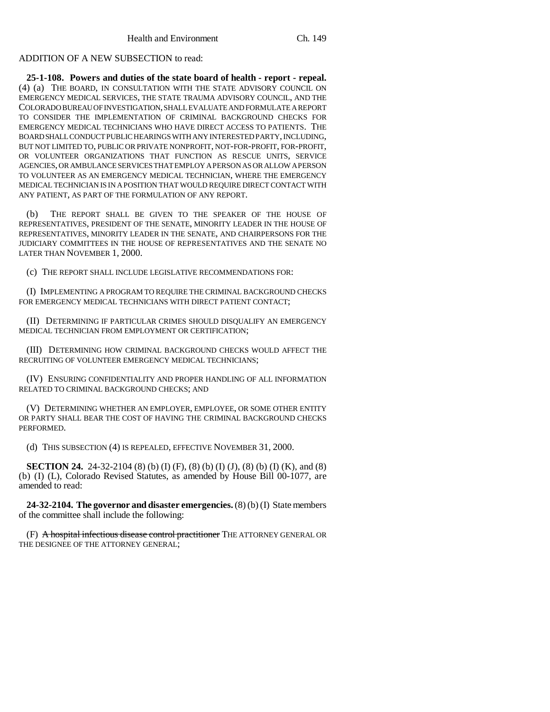## ADDITION OF A NEW SUBSECTION to read:

**25-1-108. Powers and duties of the state board of health - report - repeal.** (4) (a) THE BOARD, IN CONSULTATION WITH THE STATE ADVISORY COUNCIL ON EMERGENCY MEDICAL SERVICES, THE STATE TRAUMA ADVISORY COUNCIL, AND THE COLORADO BUREAU OF INVESTIGATION, SHALL EVALUATE AND FORMULATE A REPORT TO CONSIDER THE IMPLEMENTATION OF CRIMINAL BACKGROUND CHECKS FOR EMERGENCY MEDICAL TECHNICIANS WHO HAVE DIRECT ACCESS TO PATIENTS. THE BOARD SHALL CONDUCT PUBLIC HEARINGS WITH ANY INTERESTED PARTY, INCLUDING, BUT NOT LIMITED TO, PUBLIC OR PRIVATE NONPROFIT, NOT-FOR-PROFIT, FOR-PROFIT, OR VOLUNTEER ORGANIZATIONS THAT FUNCTION AS RESCUE UNITS, SERVICE AGENCIES, OR AMBULANCE SERVICES THAT EMPLOY A PERSON AS OR ALLOW A PERSON TO VOLUNTEER AS AN EMERGENCY MEDICAL TECHNICIAN, WHERE THE EMERGENCY MEDICAL TECHNICIAN IS IN A POSITION THAT WOULD REQUIRE DIRECT CONTACT WITH ANY PATIENT, AS PART OF THE FORMULATION OF ANY REPORT.

(b) THE REPORT SHALL BE GIVEN TO THE SPEAKER OF THE HOUSE OF REPRESENTATIVES, PRESIDENT OF THE SENATE, MINORITY LEADER IN THE HOUSE OF REPRESENTATIVES, MINORITY LEADER IN THE SENATE, AND CHAIRPERSONS FOR THE JUDICIARY COMMITTEES IN THE HOUSE OF REPRESENTATIVES AND THE SENATE NO LATER THAN NOVEMBER 1, 2000.

(c) THE REPORT SHALL INCLUDE LEGISLATIVE RECOMMENDATIONS FOR:

(I) IMPLEMENTING A PROGRAM TO REQUIRE THE CRIMINAL BACKGROUND CHECKS FOR EMERGENCY MEDICAL TECHNICIANS WITH DIRECT PATIENT CONTACT;

(II) DETERMINING IF PARTICULAR CRIMES SHOULD DISQUALIFY AN EMERGENCY MEDICAL TECHNICIAN FROM EMPLOYMENT OR CERTIFICATION;

(III) DETERMINING HOW CRIMINAL BACKGROUND CHECKS WOULD AFFECT THE RECRUITING OF VOLUNTEER EMERGENCY MEDICAL TECHNICIANS;

(IV) ENSURING CONFIDENTIALITY AND PROPER HANDLING OF ALL INFORMATION RELATED TO CRIMINAL BACKGROUND CHECKS; AND

(V) DETERMINING WHETHER AN EMPLOYER, EMPLOYEE, OR SOME OTHER ENTITY OR PARTY SHALL BEAR THE COST OF HAVING THE CRIMINAL BACKGROUND CHECKS PERFORMED.

(d) THIS SUBSECTION (4) IS REPEALED, EFFECTIVE NOVEMBER 31, 2000.

**SECTION 24.** 24-32-2104 (8) (b) (I) (F), (8) (b) (I) (J), (8) (b) (I) (K), and (8) (b) (I) (L), Colorado Revised Statutes, as amended by House Bill 00-1077, are amended to read:

**24-32-2104. The governor and disaster emergencies.** (8) (b) (I) State members of the committee shall include the following:

(F) A hospital infectious disease control practitioner THE ATTORNEY GENERAL OR THE DESIGNEE OF THE ATTORNEY GENERAL;